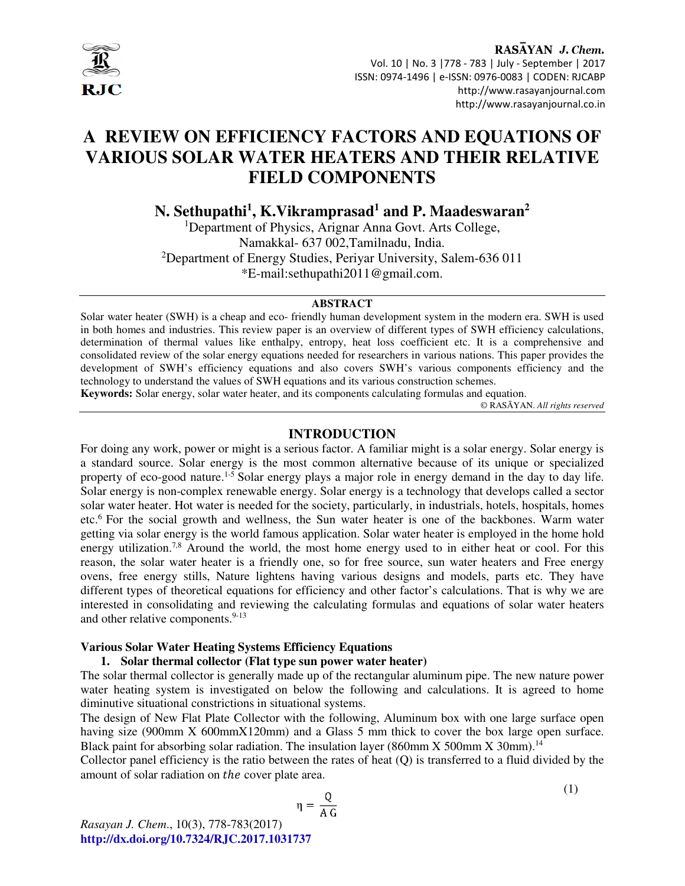

RASAYAN J. Chem. Vol. 10 | No. 3 |778 - 783 | July - September | 2017 ISSN: 0974-1496 | e-ISSN: 0976-0083 | CODEN: RJCABP http://www.rasayanjournal.com http://www.rasayanjournal.co.in

# **A REVIEW ON EFFICIENCY FACTORS AND EQUATIONS OF VARIOUS SOLAR WATER HEATERS AND THEIR RELATIVE FIELD COMPONENTS**

**N. Sethupathi<sup>1</sup> , K.Vikramprasad<sup>1</sup> and P. Maadeswaran<sup>2</sup>**

<sup>1</sup>Department of Physics, Arignar Anna Govt. Arts College, Namakkal- 637 002,Tamilnadu, India. <sup>2</sup>Department of Energy Studies, Periyar University, Salem-636 011 \*E-mail:sethupathi2011@gmail.com.

### **ABSTRACT**

Solar water heater (SWH) is a cheap and eco- friendly human development system in the modern era. SWH is used in both homes and industries. This review paper is an overview of different types of SWH efficiency calculations, determination of thermal values like enthalpy, entropy, heat loss coefficient etc. It is a comprehensive and consolidated review of the solar energy equations needed for researchers in various nations. This paper provides the development of SWH's efficiency equations and also covers SWH's various components efficiency and the technology to understand the values of SWH equations and its various construction schemes.

**Keywords:** Solar energy, solar water heater, and its components calculating formulas and equation.

© RASĀYAN. *All rights reserved*

### **INTRODUCTION**

For doing any work, power or might is a serious factor. A familiar might is a solar energy. Solar energy is a standard source. Solar energy is the most common alternative because of its unique or specialized property of eco-good nature.<sup>1-5</sup> Solar energy plays a major role in energy demand in the day to day life. Solar energy is non-complex renewable energy. Solar energy is a technology that develops called a sector solar water heater. Hot water is needed for the society, particularly, in industrials, hotels, hospitals, homes etc.<sup>6</sup> For the social growth and wellness, the Sun water heater is one of the backbones. Warm water getting via solar energy is the world famous application. Solar water heater is employed in the home hold energy utilization.<sup>7,8</sup> Around the world, the most home energy used to in either heat or cool. For this reason, the solar water heater is a friendly one, so for free source, sun water heaters and Free energy ovens, free energy stills, Nature lightens having various designs and models, parts etc. They have different types of theoretical equations for efficiency and other factor's calculations. That is why we are interested in consolidating and reviewing the calculating formulas and equations of solar water heaters and other relative components.<sup>9-13</sup>

#### **Various Solar Water Heating Systems Efficiency Equations**

#### **1. Solar thermal collector (Flat type sun power water heater)**

The solar thermal collector is generally made up of the rectangular aluminum pipe. The new nature power water heating system is investigated on below the following and calculations. It is agreed to home diminutive situational constrictions in situational systems.

The design of New Flat Plate Collector with the following, Aluminum box with one large surface open having size (900mm X 600mmX120mm) and a Glass 5 mm thick to cover the box large open surface. Black paint for absorbing solar radiation. The insulation layer (860mm X 500mm X 30mm).<sup>14</sup>

Collector panel efficiency is the ratio between the rates of heat (Q) is transferred to a fluid divided by the amount of solar radiation on the cover plate area.

$$
\eta = \frac{Q}{A \, G}
$$
 (1)

*Rasayan J. Chem*., 10(3), 778-783(2017) **http://dx.doi.org/10.7324/RJC.2017.1031737**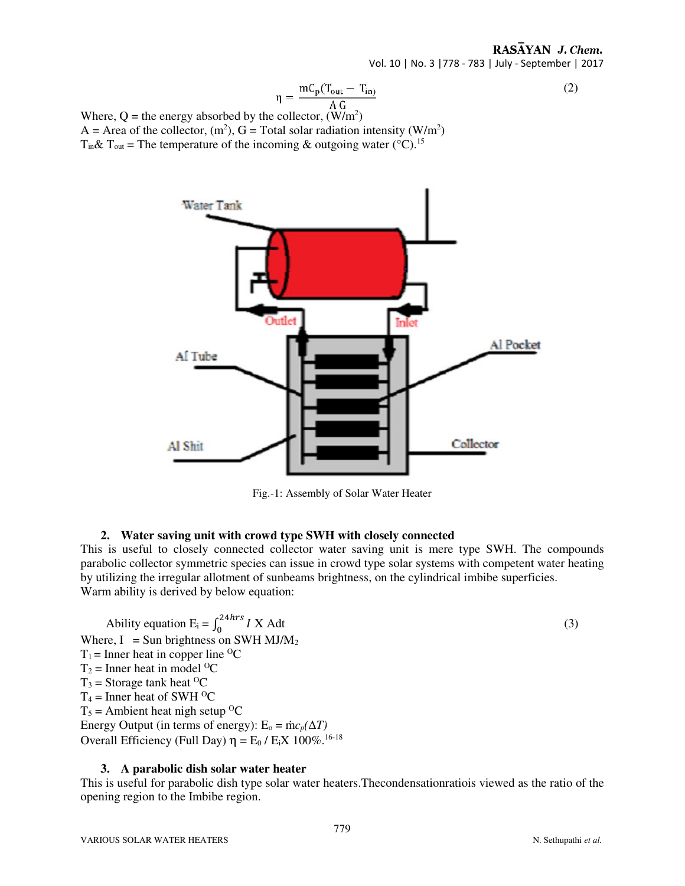# RASAYAN J. Chem.

Vol. 10 | No. 3 |778 - 783 | July - September | 2017

$$
\eta = \frac{mC_p(T_{out} - T_{in})}{A G}
$$
 (2)

Where,  $Q =$  the energy absorbed by the collector,  $(W/m^2)$ A = Area of the collector,  $(m^2)$ , G = Total solar radiation intensity (W/m<sup>2</sup>)  $T_{in}$ &  $T_{out}$  = The temperature of the incoming & outgoing water (°C).<sup>15</sup>



Fig.-1: Assembly of Solar Water Heater

# **2. Water saving unit with crowd type SWH with closely connected**

This is useful to closely connected collector water saving unit is mere type SWH. The compounds parabolic collector symmetric species can issue in crowd type solar systems with competent water heating by utilizing the irregular allotment of sunbeams brightness, on the cylindrical imbibe superficies. Warm ability is derived by below equation:

Ability equation  $E_i = \int_0^{24hrs} I X A dt$  (3) Where,  $I = Sun$  brightness on SWH MJ/M<sub>2</sub>  $T_1$  = Inner heat in copper line <sup>o</sup>C  $T_2$  = Inner heat in model <sup>O</sup>C  $T_3$  = Storage tank heat <sup>O</sup>C  $T_4$  = Inner heat of SWH <sup>O</sup>C  $T_5$  = Ambient heat nigh setup <sup>O</sup>C Energy Output (in terms of energy):  $E_0 = \text{inc}_p(\Delta T)$ Overall Efficiency (Full Day)  $η = E_0 / E_iX$  100%.<sup>16-18</sup>

## **3. A parabolic dish solar water heater**

This is useful for parabolic dish type solar water heaters.Thecondensationratiois viewed as the ratio of the opening region to the Imbibe region.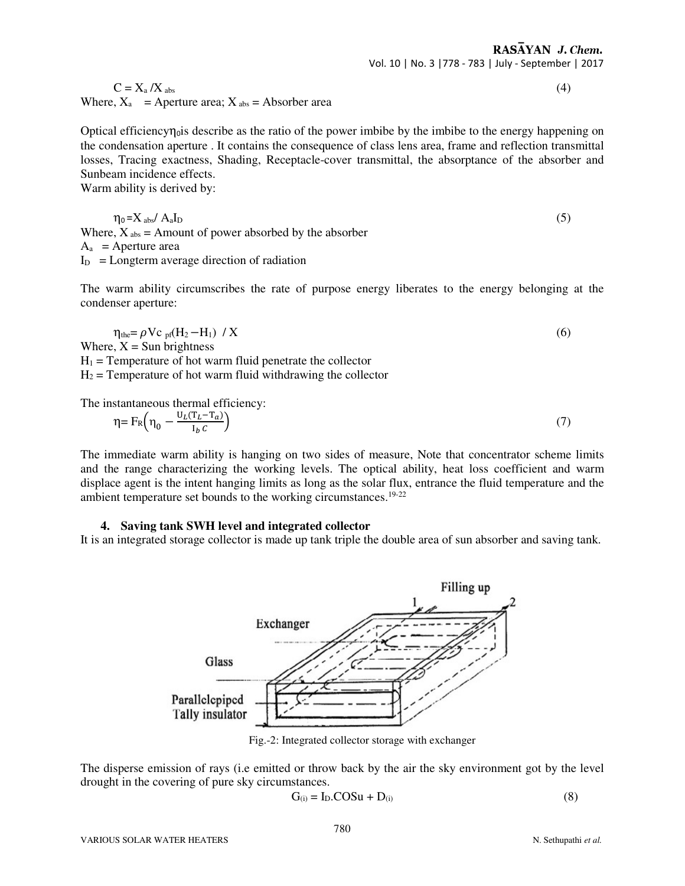$C = X_a / X_{abs}$  (4) Where,  $X_a$  = Aperture area;  $X_{\text{abs}}$  = Absorber area

Optical efficiency $\eta_0$ is describe as the ratio of the power imbibe by the imbibe to the energy happening on the condensation aperture . It contains the consequence of class lens area, frame and reflection transmittal losses, Tracing exactness, Shading, Receptacle-cover transmittal, the absorptance of the absorber and Sunbeam incidence effects.

Warm ability is derived by:

 $A<sub>a</sub>$ 

$$
\eta_0 = X_{\text{abs}} / A_{\text{a}} I_{\text{D}}
$$
\nWhere,  $X_{\text{abs}} = \text{Amount of power absorbed by the absorber}$ \n
$$
A_{\text{a}} = \text{Aperture area}
$$
\n
$$
I_{\text{D}} = \text{Longterm average direction of radiation}
$$
\n(5)

The warm ability circumscribes the rate of purpose energy liberates to the energy belonging at the condenser aperture:

$$
\eta_{\text{the}} = \rho V c_{\text{pf}} (H_2 - H_1) / X
$$
  
Where, X = Sun brightness (6)

 $H_1$  = Temperature of hot warm fluid penetrate the collector  $H_2$  = Temperature of hot warm fluid withdrawing the collector

The instantaneous thermal efficiency:

$$
\eta = F_R \left( \eta_0 - \frac{U_L (T_L - T_a)}{I_b c} \right) \tag{7}
$$

The immediate warm ability is hanging on two sides of measure, Note that concentrator scheme limits and the range characterizing the working levels. The optical ability, heat loss coefficient and warm displace agent is the intent hanging limits as long as the solar flux, entrance the fluid temperature and the ambient temperature set bounds to the working circumstances.19-22

## **4. Saving tank SWH level and integrated collector**

It is an integrated storage collector is made up tank triple the double area of sun absorber and saving tank.



Fig.-2: Integrated collector storage with exchanger

The disperse emission of rays (i.e emitted or throw back by the air the sky environment got by the level drought in the covering of pure sky circumstances.

$$
G_{(i)} = I_D. COSu + D_{(i)}
$$
\n
$$
(8)
$$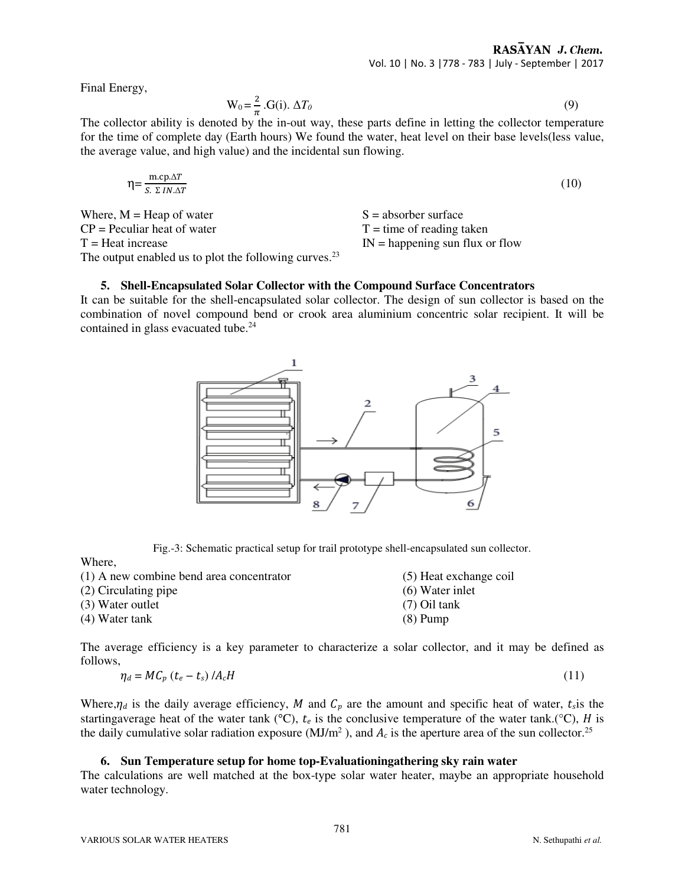Final Energy,

$$
W_0 = \frac{2}{\pi} \cdot G(i) \cdot \Delta T_0 \tag{9}
$$

The collector ability is denoted by the in-out way, these parts define in letting the collector temperature for the time of complete day (Earth hours) We found the water, heat level on their base levels(less value, the average value, and high value) and the incidental sun flowing.

$$
\eta = \frac{\text{m.cp}.\Delta T}{S. \ \Sigma \ IN.\Delta T} \tag{10}
$$

Where,  $M = \text{Heap of water}$   $S = \text{absorber surface}$  $CP = P$ eculiar heat of water  $T =$  time of reading taken  $T =$  Heat increase IN = happening sun flux or flow The output enabled us to plot the following curves.<sup>23</sup>

# **5. Shell-Encapsulated Solar Collector with the Compound Surface Concentrators**

It can be suitable for the shell-encapsulated solar collector. The design of sun collector is based on the combination of novel compound bend or crook area aluminium concentric solar recipient. It will be contained in glass evacuated tube.<sup>24</sup>



Fig.-3: Schematic practical setup for trail prototype shell-encapsulated sun collector.

Where,

| (1) A new combine bend area concentrator | (5) Heat exchange coil |
|------------------------------------------|------------------------|
| (2) Circulating pipe                     | $(6)$ Water inlet      |
| (3) Water outlet                         | $(7)$ Oil tank         |
| (4) Water tank                           | $(8)$ Pump             |

The average efficiency is a key parameter to characterize a solar collector, and it may be defined as follows,

$$
\eta_d = M C_p \left( t_e - t_s \right) / A_c H \tag{11}
$$

Where, $\eta_d$  is the daily average efficiency, M and  $C_p$  are the amount and specific heat of water,  $t_s$  is the startingaverage heat of the water tank (°C),  $t_e$  is the conclusive temperature of the water tank.(°C), H is the daily cumulative solar radiation exposure ( $MJ/m^2$ ), and  $A_c$  is the aperture area of the sun collector.<sup>25</sup>

# **6. Sun Temperature setup for home top-Evaluationingathering sky rain water**

The calculations are well matched at the box-type solar water heater, maybe an appropriate household water technology.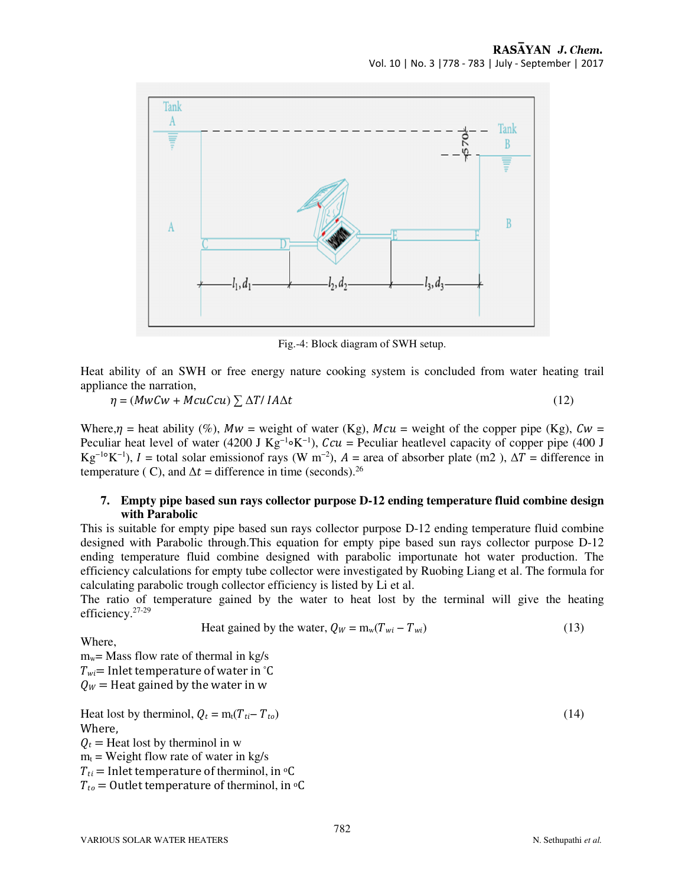

Fig.-4: Block diagram of SWH setup.

Heat ability of an SWH or free energy nature cooking system is concluded from water heating trail appliance the narration,

$$
\eta = (MwCw + McuCcu) \sum \Delta T / IA\Delta t \tag{12}
$$

Where,  $\eta$  = heat ability (%),  $Mw$  = weight of water (Kg),  $Mcu$  = weight of the copper pipe (Kg),  $Cw$  = Peculiar heat level of water (4200 J Kg<sup>-1</sup>∘K<sup>-1</sup>),  $Ccu =$  Peculiar heatlevel capacity of copper pipe (400 J Kg<sup>-1</sup>°K<sup>-1</sup>), *I* = total solar emissionof rays (W m<sup>-2</sup>), *A* = area of absorber plate (m2),  $\Delta T$  = difference in temperature ( C), and  $\Delta t =$  difference in time (seconds).<sup>26</sup>

## **7. Empty pipe based sun rays collector purpose D-12 ending temperature fluid combine design with Parabolic**

This is suitable for empty pipe based sun rays collector purpose D-12 ending temperature fluid combine designed with Parabolic through.This equation for empty pipe based sun rays collector purpose D-12 ending temperature fluid combine designed with parabolic importunate hot water production. The efficiency calculations for empty tube collector were investigated by Ruobing Liang et al. The formula for calculating parabolic trough collector efficiency is listed by Li et al.

The ratio of temperature gained by the water to heat lost by the terminal will give the heating efficiency.27-29

Heat gained by the water, 
$$
Q_W = m_w (T_{wi} - T_{wi})
$$
 (13)

Where,

 $m_w$ = Mass flow rate of thermal in kg/s  $T_{wi}$ = Inlet temperature of water in °C  $Q_W$  = Heat gained by the water in w

Heat lost by thermino, 
$$
Q_t = m_t(T_{ti} - T_{to})
$$
  
\nWhere,  
\n $Q_t$  = Heat lost by thermino l in w  
\n $m_t$  = Weight flow rate of water in kg/s  
\n $T_{ti}$  = Inlet temperature of thermino, in °C

 $T_{to}$  = Outlet temperature of therminol, in  $\circ$ C